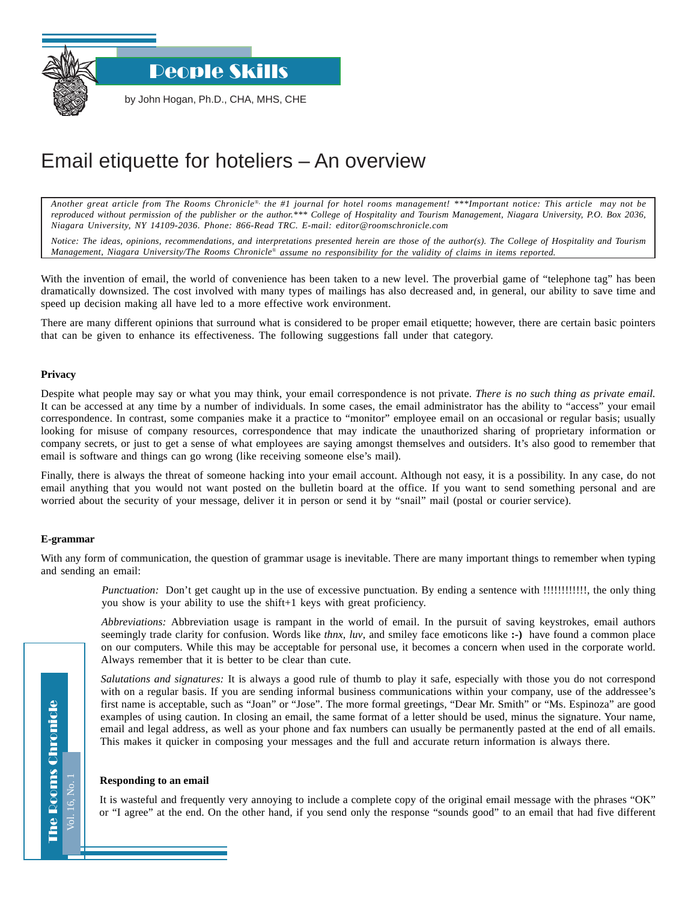People Skills

by John Hogan, Ph.D., CHA, MHS, CHE

# Email etiquette for hoteliers – An overview

*Another great article from The Rooms Chronicle*®*, the #1 journal for hotel rooms management! \*\*\*Important notice: This article may not be reproduced without permission of the publisher or the author.\*\*\* College of Hospitality and Tourism Management, Niagara University, P.O. Box 2036, Niagara University, NY 14109-2036. Phone: 866-Read TRC. E-mail: editor@roomschronicle.com*

*Notice: The ideas, opinions, recommendations, and interpretations presented herein are those of the author(s). The College of Hospitality and Tourism Management, Niagara University/The Rooms Chronicle*® *assume no responsibility for the validity of claims in items reported.*

With the invention of email, the world of convenience has been taken to a new level. The proverbial game of "telephone tag" has been dramatically downsized. The cost involved with many types of mailings has also decreased and, in general, our ability to save time and speed up decision making all have led to a more effective work environment.

There are many different opinions that surround what is considered to be proper email etiquette; however, there are certain basic pointers that can be given to enhance its effectiveness. The following suggestions fall under that category.

#### **Privacy**

Despite what people may say or what you may think, your email correspondence is not private. *There is no such thing as private email.* It can be accessed at any time by a number of individuals. In some cases, the email administrator has the ability to "access" your email correspondence. In contrast, some companies make it a practice to "monitor" employee email on an occasional or regular basis; usually looking for misuse of company resources, correspondence that may indicate the unauthorized sharing of proprietary information or company secrets, or just to get a sense of what employees are saying amongst themselves and outsiders. It's also good to remember that email is software and things can go wrong (like receiving someone else's mail).

Finally, there is always the threat of someone hacking into your email account. Although not easy, it is a possibility. In any case, do not email anything that you would not want posted on the bulletin board at the office. If you want to send something personal and are worried about the security of your message, deliver it in person or send it by "snail" mail (postal or courier service).

#### **E-grammar**

With any form of communication, the question of grammar usage is inevitable. There are many important things to remember when typing and sending an email:

*Punctuation:* Don't get caught up in the use of excessive punctuation. By ending a sentence with !!!!!!!!!!!!!, the only thing you show is your ability to use the shift+1 keys with great proficiency.

*Abbreviations:* Abbreviation usage is rampant in the world of email. In the pursuit of saving keystrokes, email authors seemingly trade clarity for confusion. Words like *thnx*, *luv*, and smiley face emoticons like **:-)** have found a common place on our computers. While this may be acceptable for personal use, it becomes a concern when used in the corporate world. Always remember that it is better to be clear than cute.

*Salutations and signatures:* It is always a good rule of thumb to play it safe, especially with those you do not correspond with on a regular basis. If you are sending informal business communications within your company, use of the addressee's first name is acceptable, such as "Joan" or "Jose". The more formal greetings, "Dear Mr. Smith" or "Ms. Espinoza" are good examples of using caution. In closing an email, the same format of a letter should be used, minus the signature. Your name, email and legal address, as well as your phone and fax numbers can usually be permanently pasted at the end of all emails. This makes it quicker in composing your messages and the full and accurate return information is always there.

#### **Responding to an email**

It is wasteful and frequently very annoying to include a complete copy of the original email message with the phrases "OK" or "I agree" at the end. On the other hand, if you send only the response "sounds good" to an email that had five different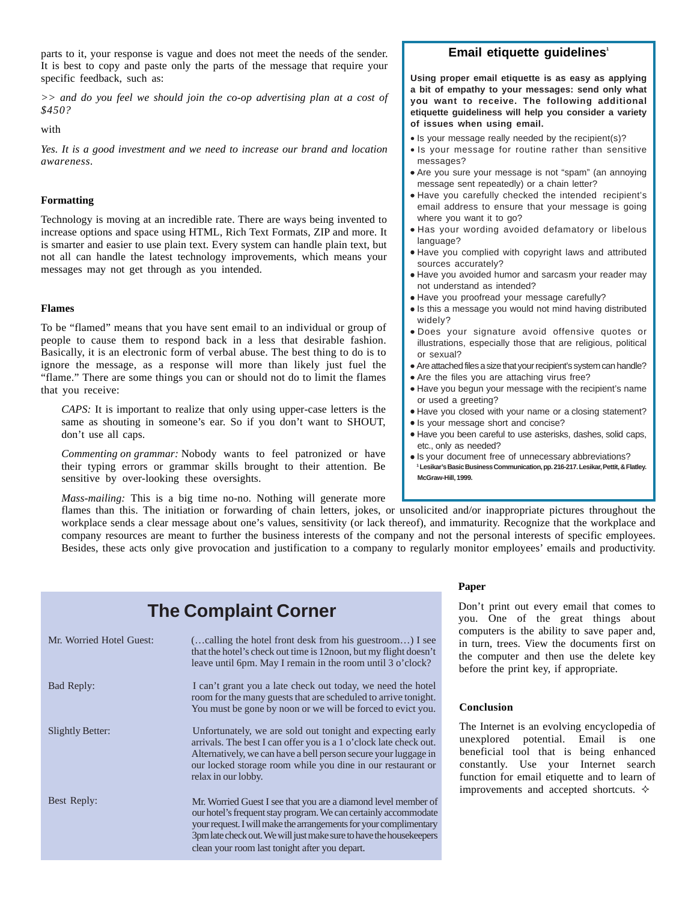parts to it, your response is vague and does not meet the needs of the sender. It is best to copy and paste only the parts of the message that require your specific feedback, such as:

*>> and do you feel we should join the co-op advertising plan at a cost of \$450?*

with

*Yes. It is a good investment and we need to increase our brand and location awareness.*

#### **Formatting**

Technology is moving at an incredible rate. There are ways being invented to increase options and space using HTML, Rich Text Formats, ZIP and more. It is smarter and easier to use plain text. Every system can handle plain text, but not all can handle the latest technology improvements, which means your messages may not get through as you intended.

#### **Flames**

To be "flamed" means that you have sent email to an individual or group of people to cause them to respond back in a less that desirable fashion. Basically, it is an electronic form of verbal abuse. The best thing to do is to ignore the message, as a response will more than likely just fuel the "flame." There are some things you can or should not do to limit the flames that you receive:

*CAPS:* It is important to realize that only using upper-case letters is the same as shouting in someone's ear. So if you don't want to SHOUT, don't use all caps.

*Commenting on grammar:* Nobody wants to feel patronized or have their typing errors or grammar skills brought to their attention. Be sensitive by over-looking these oversights.

*Mass-mailing:* This is a big time no-no. Nothing will generate more

flames than this. The initiation or forwarding of chain letters, jokes, or unsolicited and/or inappropriate pictures throughout the workplace sends a clear message about one's values, sensitivity (or lack thereof), and immaturity. Recognize that the workplace and company resources are meant to further the business interests of the company and not the personal interests of specific employees. Besides, these acts only give provocation and justification to a company to regularly monitor employees' emails and productivity.

## **The Complaint Corner**

| Mr. Worried Hotel Guest: | (calling the hotel front desk from his guestroom) I see<br>that the hotel's check out time is 12 noon, but my flight doesn't<br>leave until 6pm. May I remain in the room until 3 o'clock?                                                                                                                                      |
|--------------------------|---------------------------------------------------------------------------------------------------------------------------------------------------------------------------------------------------------------------------------------------------------------------------------------------------------------------------------|
| Bad Reply:               | I can't grant you a late check out today, we need the hotel<br>room for the many guests that are scheduled to arrive tonight.<br>You must be gone by noon or we will be forced to evict you.                                                                                                                                    |
| Slightly Better:         | Unfortunately, we are sold out tonight and expecting early<br>arrivals. The best I can offer you is a 1 o'clock late check out.<br>Alternatively, we can have a bell person secure your luggage in<br>our locked storage room while you dine in our restaurant or<br>relax in our lobby.                                        |
| Best Reply:              | Mr. Worried Guest I see that you are a diamond level member of<br>our hotel's frequent stay program. We can certainly accommodate<br>your request. I will make the arrangements for your complimentary<br>3pm late check out. We will just make sure to have the housekeepers<br>clean your room last tonight after you depart. |

### **Email etiquette guidelines<sup>1</sup>**

**Using proper email etiquette is as easy as applying a bit of empathy to your messages: send only what you want to receive. The following additional etiquette guideliness will help you consider a variety of issues when using email.**

- Is your message really needed by the recipient(s)?
- Is your message for routine rather than sensitive messages?
- Are you sure your message is not "spam" (an annoying message sent repeatedly) or a chain letter?
- Have you carefully checked the intended recipient's email address to ensure that your message is going where you want it to go?
- Has your wording avoided defamatory or libelous language?
- Have you complied with copyright laws and attributed sources accurately?
- Have you avoided humor and sarcasm your reader may not understand as intended?
- Have you proofread your message carefully?
- Is this a message you would not mind having distributed widely?
- Does your signature avoid offensive quotes or illustrations, especially those that are religious, political or sexual?
- Are attached files a size that your recipient's system can handle?
- Are the files you are attaching virus free?
- Have you begun your message with the recipient's name or used a greeting?
- Have you closed with your name or a closing statement?
- Is your message short and concise?
- Have you been careful to use asterisks, dashes, solid caps, etc., only as needed?
- Is your document free of unnecessary abbreviations? **1 Lesikar's Basic Business Communication, pp. 216-217. Lesikar, Pettit, & Flatley. McGraw-Hill, 1999.**

#### **Paper**

Don't print out every email that comes to you. One of the great things about computers is the ability to save paper and, in turn, trees. View the documents first on the computer and then use the delete key before the print key, if appropriate.

#### **Conclusion**

The Internet is an evolving encyclopedia of unexplored potential. Email is one beneficial tool that is being enhanced constantly. Use your Internet search function for email etiquette and to learn of improvements and accepted shortcuts.  $\diamond$